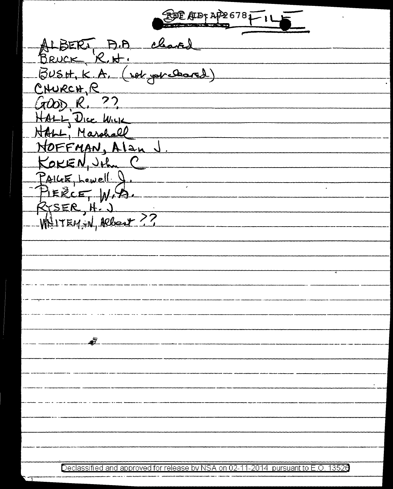DE AIDI AP26781

ALBERT A.A. cleared<br>BRUCK R.H.<br>BUSH.K.A. (vol. yourcleared) CNURCH, R HALL, Dice Wick NOFFMAN, Alan J KOKEN, John C PAILLE LOWELL 9. RYSER, H. J ----- \_\_ .,, ---------- ·--------------------·-- ----- -----------~--·-- ---------- ~ ---·---------

Declassified and approved for release by NSA on 02-11-2014 pursuant to E .0. 1352a Declassified and approved for release by NSA on 02-11-2014 pursuant to E.O. 13520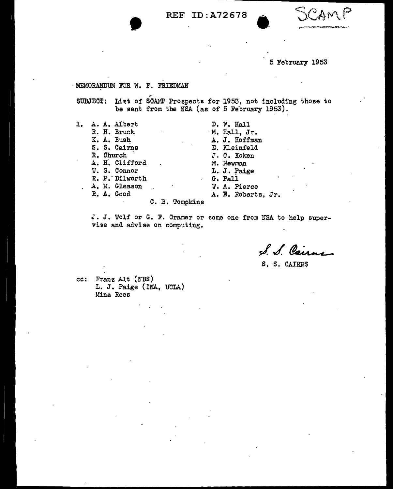• REF ID:A72678

5 February 1953

**•** 

## - MEMORANDUM FOR W. F. FRIEDMAN

SUBJECT: List of SCAMP Prospects for 1953, not including those to be sent from the NSA (as of 5 February 1953).

1. A. A. Albert D. W. Hall D. W. Hall R. H. Bruck . M. Hall, Jr.<br>K. A. Bush . M. A. J. Hoffma S. S. Cairns E. Kleinfeld<br>R. Church J. C. Koken R. Church J. C. Koken<br>
A. H. Clifford M. Newman A. H. Clifford M. Newman<br>W. S. Connor M. J. J. Paige W. S. Connor  $L. J. Pa$ <br>R. P. Dilworth  $G. Pa11$ R. P. Dilworth<br>A. M. Gleason A. M. Gleason M. A. Pierce<br>R. A. Good M. E. Roberts

A. J. Hoffman<br>E. Kleinfeld A. E. Roberts, Jr.

C. B. Tompkins

J. J. Wolf or G. F. Cramer or some one from NSA to help supervise and advise on computing.

S. S. Cairne

S. S. CAIRNS

cc: Franz Alt (NBS) L. J. Paige (INA, UCLA) Mina Rees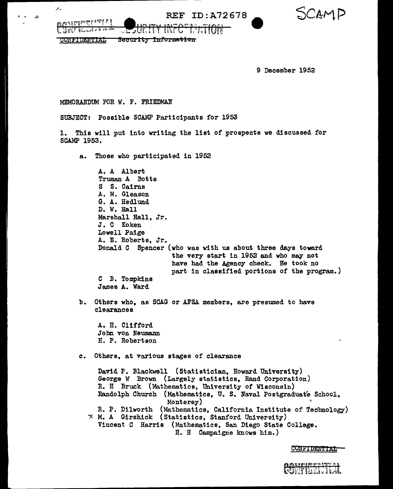**REF ID: A72678** 

SCAMD

**WWaldbuchedig** L JRF Corre

 $\mathcal{L}_{\tau}$ 

J.

Security Information **CONFIDENTIAL** 

9 December 1952

MEMORANDUM FOR *W.* F. FRIEDMAN

SUBJECT: Possible SCAMP Participants for 1953

**SURITY INFORMATION** 

1. This will put into writing the list of prospects we discussed for SCAMP 1953.

a. Those who participated in 1952

A. A Albert Truman A Botts S S. Cairns A. M. Gleason G. A. Hedlund D. W. Hall Marshall Hall, Jr. J. C Koken Lowell Paige A. E. Roberts, Jr. Donald C Spencer (who was with us about three days toward the very start in 1952 and who may not have had the Agency check. He took no C B. Tompkins James A. Ward part in classified portions of the program.) b. Others who, as SCAG or AFSA members, are presumed to have clearances A. H. Clifford John von Neumann H. P. Robertson c. Others, at various stages of clearance David P. Blackwell (Statistician, Howard University) George W Brown (Largely statistics, Rand Corporation) R. H Bruck (Mathematics, University of Wisconsin) Randolph Church (Mathematics, U.S. Naval Postgraduate School, Monterey) R. P. Dilworth (Mathematics, California Institute of Technology)  $*$  M. A Girshick (Statistics, Stanford University) Vincent C Harris (Mathematics, San Diego State College. H. H Campaigne knows him. )

CONFIDENTIAT

where the control of the control of the control of the control of the control of the control of the control of